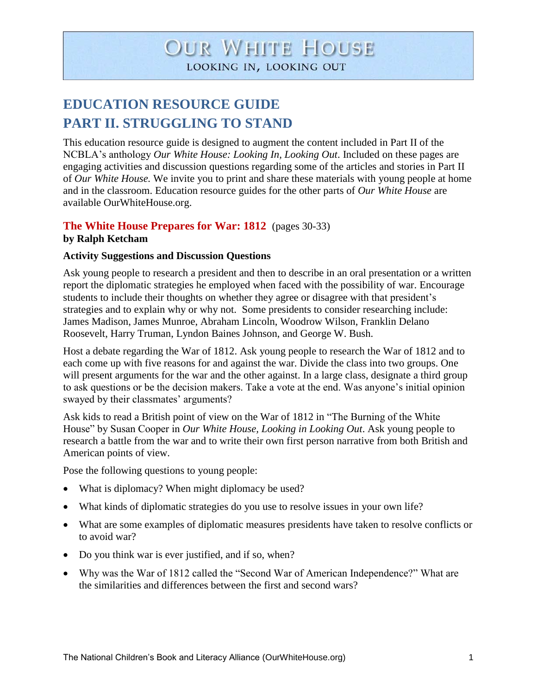# **OUR WHITE HOUSE** LOOKING IN, LOOKING OUT

## **EDUCATION RESOURCE GUIDE PART II. STRUGGLING TO STAND**

This education resource guide is designed to augment the content included in Part II of the NCBLA's anthology *Our White House: Looking In, Looking Out*. Included on these pages are engaging activities and discussion questions regarding some of the articles and stories in Part II of *Our White House.* We invite you to print and share these materials with young people at home and in the classroom. Education resource guides for the other parts of *Our White House* are available OurWhiteHouse.org.

#### **The White House Prepares for War: 1812** (pages 30-33) **by Ralph Ketcham**

#### **Activity Suggestions and Discussion Questions**

Ask young people to research a president and then to describe in an oral presentation or a written report the diplomatic strategies he employed when faced with the possibility of war. Encourage students to include their thoughts on whether they agree or disagree with that president's strategies and to explain why or why not. Some presidents to consider researching include: James Madison, James Munroe, Abraham Lincoln, Woodrow Wilson, Franklin Delano Roosevelt, Harry Truman, Lyndon Baines Johnson, and George W. Bush.

Host a debate regarding the War of 1812. Ask young people to research the War of 1812 and to each come up with five reasons for and against the war. Divide the class into two groups. One will present arguments for the war and the other against. In a large class, designate a third group to ask questions or be the decision makers. Take a vote at the end. Was anyone's initial opinion swayed by their classmates' arguments?

Ask kids to read a British point of view on the War of 1812 in "The Burning of the White House" by Susan Cooper in *Our White House, Looking in Looking Out*. Ask young people to research a battle from the war and to write their own first person narrative from both British and American points of view.

Pose the following questions to young people:

- What is diplomacy? When might diplomacy be used?
- What kinds of diplomatic strategies do you use to resolve issues in your own life?
- What are some examples of diplomatic measures presidents have taken to resolve conflicts or to avoid war?
- Do you think war is ever justified, and if so, when?
- Why was the War of 1812 called the "Second War of American Independence?" What are the similarities and differences between the first and second wars?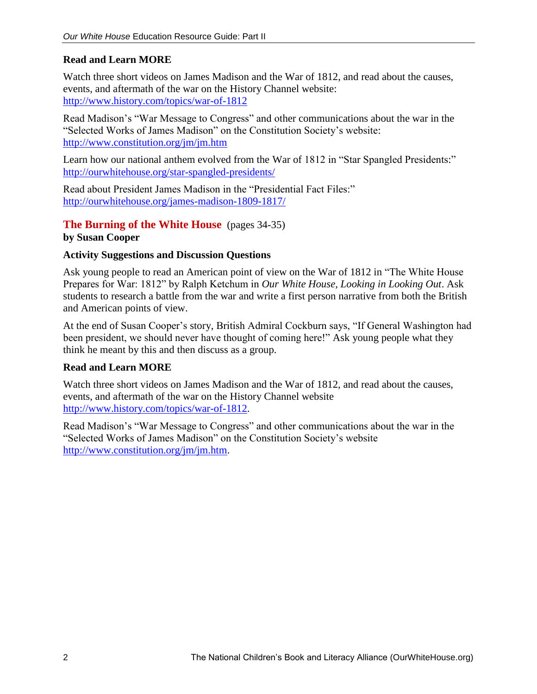#### **Read and Learn MORE**

Watch three short videos on James Madison and the War of 1812, and read about the causes, events, and aftermath of the war on the History Channel website: <http://www.history.com/topics/war-of-1812>

Read Madison's "War Message to Congress" and other communications about the war in the "Selected Works of James Madison" on the Constitution Society's website: <http://www.constitution.org/jm/jm.htm>

Learn how our national anthem evolved from the War of 1812 in "Star Spangled Presidents:" <http://ourwhitehouse.org/star-spangled-presidents/>

Read about President James Madison in the "Presidential Fact Files:" <http://ourwhitehouse.org/james-madison-1809-1817/>

**The Burning of the White House** (pages 34-35) **by Susan Cooper**

#### **Activity Suggestions and Discussion Questions**

Ask young people to read an American point of view on the War of 1812 in "The White House Prepares for War: 1812" by Ralph Ketchum in *Our White House, Looking in Looking Out*. Ask students to research a battle from the war and write a first person narrative from both the British and American points of view.

At the end of Susan Cooper's story, British Admiral Cockburn says, "If General Washington had been president, we should never have thought of coming here!" Ask young people what they think he meant by this and then discuss as a group.

#### **Read and Learn MORE**

Watch three short videos on James Madison and the War of 1812, and read about the causes, events, and aftermath of the war on the History Channel website [http://www.history.com/topics/war-of-1812.](http://www.history.com/topics/war-of-1812)

Read Madison's "War Message to Congress" and other communications about the war in the "Selected Works of James Madison" on the Constitution Society's website [http://www.constitution.org/jm/jm.htm.](http://www.constitution.org/jm/jm.htm)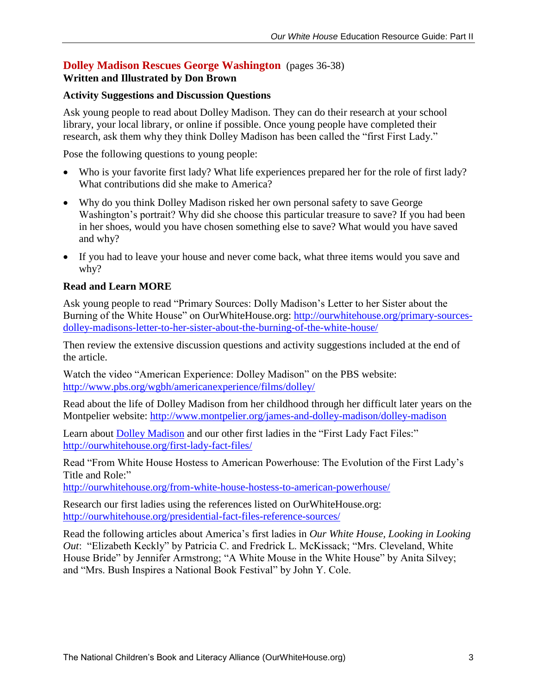### **Dolley Madison Rescues George Washington** (pages 36-38)

#### **Written and Illustrated by Don Brown**

#### **Activity Suggestions and Discussion Questions**

Ask young people to read about Dolley Madison. They can do their research at your school library, your local library, or online if possible. Once young people have completed their research, ask them why they think Dolley Madison has been called the "first First Lady."

Pose the following questions to young people:

- Who is your favorite first lady? What life experiences prepared her for the role of first lady? What contributions did she make to America?
- Why do you think Dolley Madison risked her own personal safety to save George Washington's portrait? Why did she choose this particular treasure to save? If you had been in her shoes, would you have chosen something else to save? What would you have saved and why?
- If you had to leave your house and never come back, what three items would you save and why?

#### **Read and Learn MORE**

Ask young people to read "Primary Sources: Dolly Madison's Letter to her Sister about the Burning of the White House" on OurWhiteHouse.org: [http://ourwhitehouse.org/primary-sources](http://ourwhitehouse.org/primary-sources-dolley-madisons-letter-to-her-sister-about-the-burning-of-the-white-house/)[dolley-madisons-letter-to-her-sister-about-the-burning-of-the-white-house/](http://ourwhitehouse.org/primary-sources-dolley-madisons-letter-to-her-sister-about-the-burning-of-the-white-house/)

Then review the extensive discussion questions and activity suggestions included at the end of the article.

Watch the video "American Experience: Dolley Madison" on the PBS website: <http://www.pbs.org/wgbh/americanexperience/films/dolley/>

Read about the life of Dolley Madison from her childhood through her difficult later years on the Montpelier website:<http://www.montpelier.org/james-and-dolley-madison/dolley-madison>

Learn about **Dolley Madison** and our other first ladies in the "First Lady Fact Files:" <http://ourwhitehouse.org/first-lady-fact-files/>

Read "From White House Hostess to American Powerhouse: The Evolution of the First Lady's Title and Role:"

<http://ourwhitehouse.org/from-white-house-hostess-to-american-powerhouse/>

Research our first ladies using the references listed on OurWhiteHouse.org: <http://ourwhitehouse.org/presidential-fact-files-reference-sources/>

Read the following articles about America's first ladies in *Our White House, Looking in Looking Out*: "Elizabeth Keckly" by Patricia C. and Fredrick L. McKissack; "Mrs. Cleveland, White House Bride" by Jennifer Armstrong; "A White Mouse in the White House" by Anita Silvey; and "Mrs. Bush Inspires a National Book Festival" by John Y. Cole.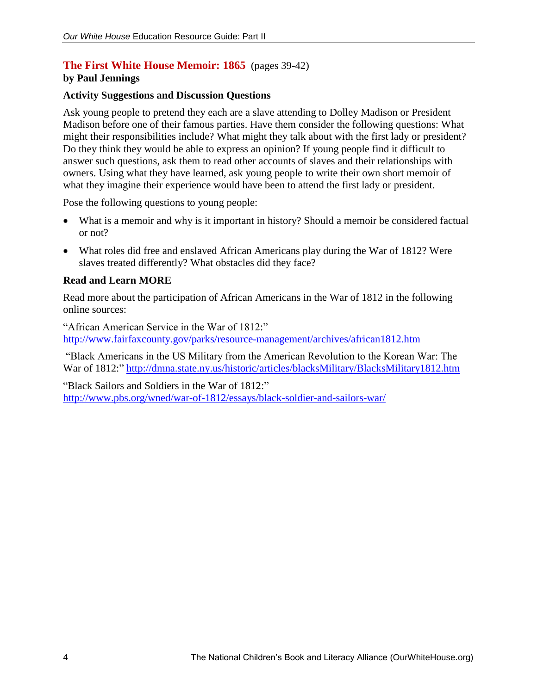## **The First White House Memoir: 1865** (pages 39-42)

#### **by Paul Jennings**

#### **Activity Suggestions and Discussion Questions**

Ask young people to pretend they each are a slave attending to Dolley Madison or President Madison before one of their famous parties. Have them consider the following questions: What might their responsibilities include? What might they talk about with the first lady or president? Do they think they would be able to express an opinion? If young people find it difficult to answer such questions, ask them to read other accounts of slaves and their relationships with owners. Using what they have learned, ask young people to write their own short memoir of what they imagine their experience would have been to attend the first lady or president.

Pose the following questions to young people:

- What is a memoir and why is it important in history? Should a memoir be considered factual or not?
- What roles did free and enslaved African Americans play during the War of 1812? Were slaves treated differently? What obstacles did they face?

#### **Read and Learn MORE**

Read more about the participation of African Americans in the War of 1812 in the following online sources:

"African American Service in the War of 1812:" <http://www.fairfaxcounty.gov/parks/resource-management/archives/african1812.htm>

"Black Americans in the US Military from the American Revolution to the Korean War: The War of 1812:"<http://dmna.state.ny.us/historic/articles/blacksMilitary/BlacksMilitary1812.htm>

"Black Sailors and Soldiers in the War of 1812:" <http://www.pbs.org/wned/war-of-1812/essays/black-soldier-and-sailors-war/>